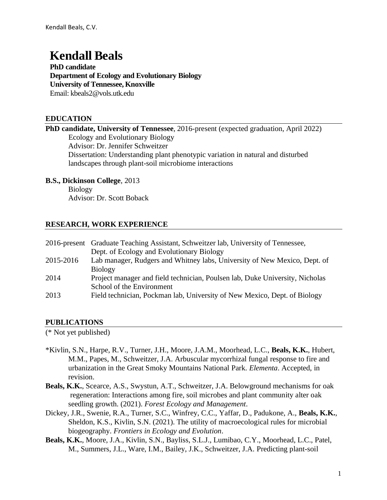# **Kendall Beals**

**PhD candidate Department of Ecology and Evolutionary Biology University of Tennessee, Knoxville** Email: [kbeals2@vols.utk.edu](mailto:kbeals2@vols.utk.edu)

## **EDUCATION**

| <b>PhD candidate, University of Tennessee</b> , 2016-present (expected graduation, April 2022) |
|------------------------------------------------------------------------------------------------|
| Ecology and Evolutionary Biology                                                               |
| Advisor: Dr. Jennifer Schweitzer                                                               |
| Dissertation: Understanding plant phenotypic variation in natural and disturbed                |
| landscapes through plant-soil microbiome interactions                                          |

#### **B.S., Dickinson College**, 2013

Biology Advisor: Dr. Scott Boback

## **RESEARCH, WORK EXPERIENCE**

|           | 2016-present Graduate Teaching Assistant, Schweitzer lab, University of Tennessee, |
|-----------|------------------------------------------------------------------------------------|
|           | Dept. of Ecology and Evolutionary Biology                                          |
| 2015-2016 | Lab manager, Rudgers and Whitney labs, University of New Mexico, Dept. of          |
|           | <b>Biology</b>                                                                     |
| 2014      | Project manager and field technician, Poulsen lab, Duke University, Nicholas       |
|           | School of the Environment                                                          |
| 2013      | Field technician, Pockman lab, University of New Mexico, Dept. of Biology          |
|           |                                                                                    |

#### **PUBLICATIONS**

(\* Not yet published)

- \*Kivlin, S.N., Harpe, R.V., Turner, J.H., Moore, J.A.M., Moorhead, L.C., **Beals, K.K.**, Hubert, M.M., Papes, M., Schweitzer, J.A. Arbuscular mycorrhizal fungal response to fire and urbanization in the Great Smoky Mountains National Park. *Elementa*. Accepted, in revision.
- **Beals, K.K.**, Scearce, A.S., Swystun, A.T., Schweitzer, J.A. Belowground mechanisms for oak regeneration: Interactions among fire, soil microbes and plant community alter oak seedling growth. (2021). *Forest Ecology and Management*.
- Dickey, J.R., Swenie, R.A., Turner, S.C., Winfrey, C.C., Yaffar, D., Padukone, A., **Beals, K.K.**, Sheldon, K.S., Kivlin, S.N. (2021). The utility of macroecological rules for microbial biogeography. *Frontiers in Ecology and Evolution*.
- **Beals, K.K.**, Moore, J.A., Kivlin, S.N., Bayliss, S.L.J., Lumibao, C.Y., Moorhead, L.C., Patel, M., Summers, J.L., Ware, I.M., Bailey, J.K., Schweitzer, J.A. Predicting plant-soil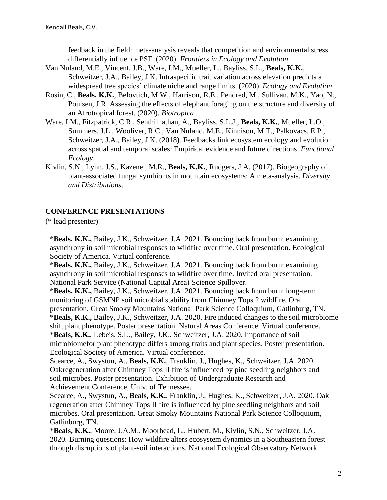feedback in the field: meta-analysis reveals that competition and environmental stress differentially influence PSF. (2020). *Frontiers in Ecology and Evolution*.

- Van Nuland, M.E., Vincent, J.B., Ware, I.M., Mueller, L., Bayliss, S.L., **Beals, K.K.**, Schweitzer, J.A., Bailey, J.K. Intraspecific trait variation across elevation predicts a widespread tree species' climate niche and range limits. (2020). *Ecology and Evolution*.
- Rosin, C., **Beals, K.K.**, Belovtich, M.W., Harrison, R.E., Pendred, M., Sullivan, M.K., Yao, N., Poulsen, J.R. Assessing the effects of elephant foraging on the structure and diversity of an Afrotropical forest. (2020). *Biotropica*.
- Ware, I.M., Fitzpatrick, C.R., Senthilnathan, A., Bayliss, S.L.J., **Beals, K.K.**, Mueller, L.O., Summers, J.L., Wooliver, R.C., Van Nuland, M.E., Kinnison, M.T., Palkovacs, E.P., Schweitzer, J.A., Bailey, J.K. (2018). Feedbacks link ecosystem ecology and evolution across spatial and temporal scales: Empirical evidence and future directions. *Functional Ecology*.
- Kivlin, S.N., Lynn, J.S., Kazenel, M.R., **Beals, K.K.**, Rudgers, J.A. (2017). Biogeography of plant-associated fungal symbionts in mountain ecosystems: A meta-analysis. *Diversity and Distributions*.

# **CONFERENCE PRESENTATIONS**

(\* lead presenter)

\***Beals, K.K.,** Bailey, J.K., Schweitzer, J.A. 2021. Bouncing back from burn: examining asynchrony in soil microbial responses to wildfire over time. Oral presentation. Ecological Society of America. Virtual conference.

\***Beals, K.K.,** Bailey, J.K., Schweitzer, J.A. 2021. Bouncing back from burn: examining asynchrony in soil microbial responses to wildfire over time. Invited oral presentation. National Park Service (National Capital Area) Science Spillover.

\***Beals, K.K.,** Bailey, J.K., Schweitzer, J.A. 2021. Bouncing back from burn: long-term monitoring of GSMNP soil microbial stability from Chimney Tops 2 wildfire. Oral presentation. Great Smoky Mountains National Park Science Colloquium, Gatlinburg, TN.

\***Beals, K.K.,** Bailey, J.K., Schweitzer, J.A. 2020. Fire induced changes to the soil microbiome shift plant phenotype. Poster presentation. Natural Areas Conference. Virtual conference. \***Beals, K.K.**, Lebeis, S.L., Bailey, J.K., Schweitzer, J.A. 2020. Importance of soil microbiomefor plant phenotype differs among traits and plant species. Poster presentation. Ecological Society of America. Virtual conference.

Scearce, A., Swystun, A., **Beals, K.K.**, Franklin, J., Hughes, K., Schweitzer, J.A. 2020. Oakregeneration after Chimney Tops II fire is influenced by pine seedling neighbors and soil microbes. Poster presentation. Exhibition of Undergraduate Research and Achievement Conference, Univ. of Tennessee.

Scearce, A., Swystun, A., **Beals, K.K.**, Franklin, J., Hughes, K., Schweitzer, J.A. 2020. Oak regeneration after Chimney Tops II fire is influenced by pine seedling neighbors and soil microbes. Oral presentation. Great Smoky Mountains National Park Science Colloquium, Gatlinburg, TN.

\***Beals, K.K.**, Moore, J.A.M., Moorhead, L., Hubert, M., Kivlin, S.N., Schweitzer, J.A. 2020. Burning questions: How wildfire alters ecosystem dynamics in a Southeastern forest through disruptions of plant-soil interactions. National Ecological Observatory Network.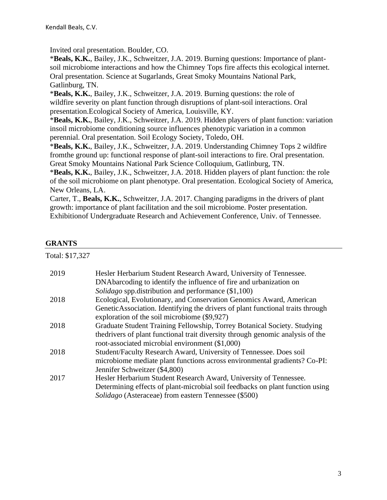Invited oral presentation. Boulder, CO.

\***Beals, K.K.**, Bailey, J.K., Schweitzer, J.A. 2019. Burning questions: Importance of plantsoil microbiome interactions and how the Chimney Tops fire affects this ecological internet. Oral presentation. Science at Sugarlands, Great Smoky Mountains National Park, Gatlinburg, TN.

\***Beals, K.K.**, Bailey, J.K., Schweitzer, J.A. 2019. Burning questions: the role of wildfire severity on plant function through disruptions of plant-soil interactions. Oral presentation.Ecological Society of America, Louisville, KY.

\***Beals, K.K.**, Bailey, J.K., Schweitzer, J.A. 2019. Hidden players of plant function: variation insoil microbiome conditioning source influences phenotypic variation in a common perennial. Oral presentation. Soil Ecology Society, Toledo, OH.

\***Beals, K.K.**, Bailey, J.K., Schweitzer, J.A. 2019. Understanding Chimney Tops 2 wildfire fromthe ground up: functional response of plant-soil interactions to fire. Oral presentation. Great Smoky Mountains National Park Science Colloquium, Gatlinburg, TN.

\***Beals, K.K.**, Bailey, J.K., Schweitzer, J.A. 2018. Hidden players of plant function: the role of the soil microbiome on plant phenotype. Oral presentation. Ecological Society of America, New Orleans, LA.

Carter, T., **Beals, K.K.**, Schweitzer, J.A. 2017. Changing paradigms in the drivers of plant growth: importance of plant facilitation and the soil microbiome. Poster presentation. Exhibitionof Undergraduate Research and Achievement Conference, Univ. of Tennessee.

#### **GRANTS**

| Total: \$17,327 |                                                                                 |
|-----------------|---------------------------------------------------------------------------------|
| 2019            | Hesler Herbarium Student Research Award, University of Tennessee.               |
|                 | DNAbarcoding to identify the influence of fire and urbanization on              |
|                 | <i>Solidago</i> spp.distribution and performance (\$1,100)                      |
| 2018            | Ecological, Evolutionary, and Conservation Genomics Award, American             |
|                 | GeneticAssociation. Identifying the drivers of plant functional traits through  |
|                 | exploration of the soil microbiome (\$9,927)                                    |
| 2018            | Graduate Student Training Fellowship, Torrey Botanical Society. Studying        |
|                 | the drivers of plant functional trait diversity through genomic analysis of the |
|                 | root-associated microbial environment (\$1,000)                                 |
| 2018            | Student/Faculty Research Award, University of Tennessee. Does soil              |
|                 | microbiome mediate plant functions across environmental gradients? Co-PI:       |
|                 | Jennifer Schweitzer (\$4,800)                                                   |
| 2017            | Hesler Herbarium Student Research Award, University of Tennessee.               |
|                 | Determining effects of plant-microbial soil feedbacks on plant function using   |
|                 | <i>Solidago</i> (Asteraceae) from eastern Tennessee (\$500)                     |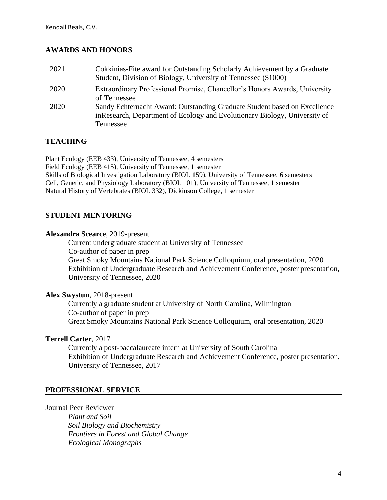#### **AWARDS AND HONORS**

| 2021 | Cokkinias-Fite award for Outstanding Scholarly Achievement by a Graduate<br>Student, Division of Biology, University of Tennessee (\$1000)                           |
|------|----------------------------------------------------------------------------------------------------------------------------------------------------------------------|
| 2020 | Extraordinary Professional Promise, Chancellor's Honors Awards, University<br>of Tennessee                                                                           |
| 2020 | Sandy Echternacht Award: Outstanding Graduate Student based on Excellence<br>in Research, Department of Ecology and Evolutionary Biology, University of<br>Tennessee |

#### **TEACHING**

Plant Ecology (EEB 433), University of Tennessee, 4 semesters Field Ecology (EEB 415), University of Tennessee, 1 semester Skills of Biological Investigation Laboratory (BIOL 159), University of Tennessee, 6 semesters Cell, Genetic, and Physiology Laboratory (BIOL 101), University of Tennessee, 1 semester Natural History of Vertebrates (BIOL 332), Dickinson College, 1 semester

#### **STUDENT MENTORING**

#### **Alexandra Scearce**, 2019-present

Current undergraduate student at University of Tennessee Co-author of paper in prep Great Smoky Mountains National Park Science Colloquium, oral presentation, 2020 Exhibition of Undergraduate Research and Achievement Conference, poster presentation, University of Tennessee, 2020

#### **Alex Swystun**, 2018-present

Currently a graduate student at University of North Carolina, Wilmington Co-author of paper in prep Great Smoky Mountains National Park Science Colloquium, oral presentation, 2020

#### **Terrell Carter**, 2017

Currently a post-baccalaureate intern at University of South Carolina Exhibition of Undergraduate Research and Achievement Conference, poster presentation, University of Tennessee, 2017

#### **PROFESSIONAL SERVICE**

Journal Peer Reviewer

*Plant and Soil Soil Biology and Biochemistry Frontiers in Forest and Global Change Ecological Monographs*